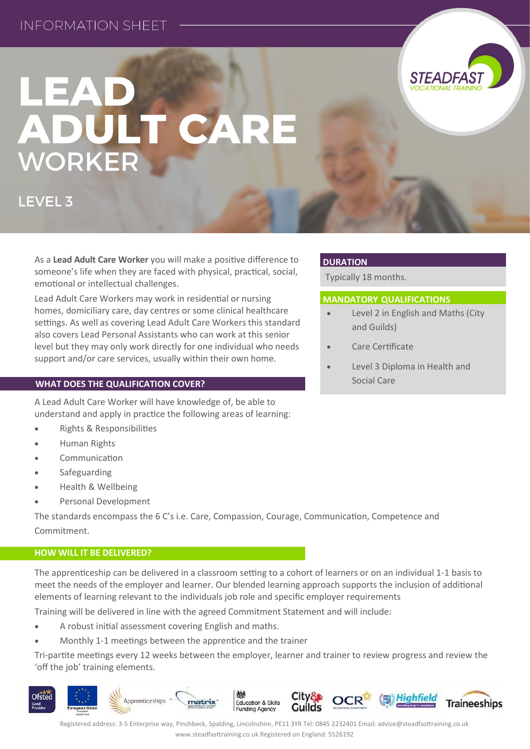## **INFORMATION SHEFT**

# LEAD ADULT CARE WORKER

**LEVEL 3** 

As a **Lead Adult Care Worker** you will make a positive difference to someone's life when they are faced with physical, practical, social, emotional or intellectual challenges.

Lead Adult Care Workers may work in residential or nursing homes, domiciliary care, day centres or some clinical healthcare settings. As well as covering Lead Adult Care Workers this standard also covers Lead Personal Assistants who can work at this senior level but they may only work directly for one individual who needs support and/or care services, usually within their own home.

## **WHAT DOES THE QUALIFICATION COVER?**

A Lead Adult Care Worker will have knowledge of, be able to understand and apply in practice the following areas of learning:

- **Rights & Responsibilities**
- Human Rights
- Communication
- Safeguarding
- Health & Wellbeing
- Personal Development

The standards encompass the 6 C's i.e. Care, Compassion, Courage, Communication, Competence and Commitment.

### **HOW WILL IT BE DELIVERED?**

The apprenticeship can be delivered in a classroom setting to a cohort of learners or on an individual 1-1 basis to meet the needs of the employer and learner. Our blended learning approach supports the inclusion of additional elements of learning relevant to the individuals job role and specific employer requirements

Training will be delivered in line with the agreed Commitment Statement and will include:

- A robust initial assessment covering English and maths.
- Monthly 1-1 meetings between the apprentice and the trainer

Tri-partite meetings every 12 weeks between the employer, learner and trainer to review progress and review the 'off the job' training elements.

#### **Ofsted OCR** Apprenticeships Education & Skills matrix **Traineeships Funding Agency**

Registered address: 3-5 Enterprise way, Pinchbeck, Spalding, Lincolnshire, PE11 3YR Tel: 0845 2232401 Email: advice@steadfasttraining.co.uk www.steadfasttraining.co.uk Registered on England: 5526192

## **DURATION**

Typically 18 months.

## **MANDATORY QUALIFICATIONS**

- Level 2 in English and Maths (City and Guilds)
- Care Certificate
- Level 3 Diploma in Health and Social Care